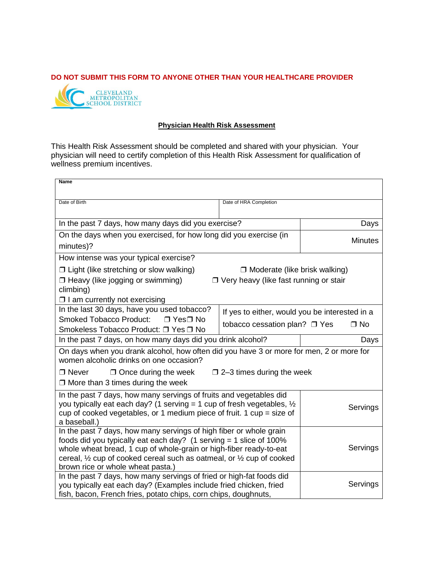## **DO NOT SUBMIT THIS FORM TO ANYONE OTHER THAN YOUR HEALTHCARE PROVIDER**



## **Physician Health Risk Assessment**

This Health Risk Assessment should be completed and shared with your physician. Your physician will need to certify completion of this Health Risk Assessment for qualification of wellness premium incentives.

| Name                                                                                                                                                                                                                                                                                                                                                |                                                |                |  |
|-----------------------------------------------------------------------------------------------------------------------------------------------------------------------------------------------------------------------------------------------------------------------------------------------------------------------------------------------------|------------------------------------------------|----------------|--|
| Date of Birth                                                                                                                                                                                                                                                                                                                                       | Date of HRA Completion                         |                |  |
| In the past 7 days, how many days did you exercise?                                                                                                                                                                                                                                                                                                 |                                                | Days           |  |
| On the days when you exercised, for how long did you exercise (in<br>minutes)?                                                                                                                                                                                                                                                                      |                                                | <b>Minutes</b> |  |
| How intense was your typical exercise?                                                                                                                                                                                                                                                                                                              |                                                |                |  |
| $\Box$ Light (like stretching or slow walking)<br>$\Box$ Moderate (like brisk walking)                                                                                                                                                                                                                                                              |                                                |                |  |
| □ Heavy (like jogging or swimming)<br>□ Very heavy (like fast running or stair<br>climbing)                                                                                                                                                                                                                                                         |                                                |                |  |
| $\Box$ I am currently not exercising                                                                                                                                                                                                                                                                                                                |                                                |                |  |
| In the last 30 days, have you used tobacco?<br><b>Smoked Tobacco Product:</b><br>$\sqcap$ Yes $\sqcap$ No                                                                                                                                                                                                                                           | If yes to either, would you be interested in a |                |  |
| Smokeless Tobacco Product: □ Yes □ No                                                                                                                                                                                                                                                                                                               | tobacco cessation plan? □ Yes<br>$\Box$ No     |                |  |
| In the past 7 days, on how many days did you drink alcohol?                                                                                                                                                                                                                                                                                         |                                                | Days           |  |
| On days when you drank alcohol, how often did you have 3 or more for men, 2 or more for<br>women alcoholic drinks on one occasion?                                                                                                                                                                                                                  |                                                |                |  |
| $\Box$ Never<br>$\Box$ Once during the week<br>$\Box$ 2–3 times during the week<br>$\Box$ More than 3 times during the week                                                                                                                                                                                                                         |                                                |                |  |
| In the past 7 days, how many servings of fruits and vegetables did<br>you typically eat each day? (1 serving = 1 cup of fresh vegetables, $\frac{1}{2}$<br>Servings<br>cup of cooked vegetables, or 1 medium piece of fruit. 1 cup = size of<br>a baseball.)                                                                                        |                                                |                |  |
| In the past 7 days, how many servings of high fiber or whole grain<br>foods did you typically eat each day? $(1$ serving = 1 slice of 100%<br>whole wheat bread, 1 cup of whole-grain or high-fiber ready-to-eat<br>cereal, $\frac{1}{2}$ cup of cooked cereal such as oatmeal, or $\frac{1}{2}$ cup of cooked<br>brown rice or whole wheat pasta.) |                                                | Servings       |  |
| In the past 7 days, how many servings of fried or high-fat foods did<br>you typically eat each day? (Examples include fried chicken, fried<br>fish, bacon, French fries, potato chips, corn chips, doughnuts,                                                                                                                                       |                                                | Servings       |  |